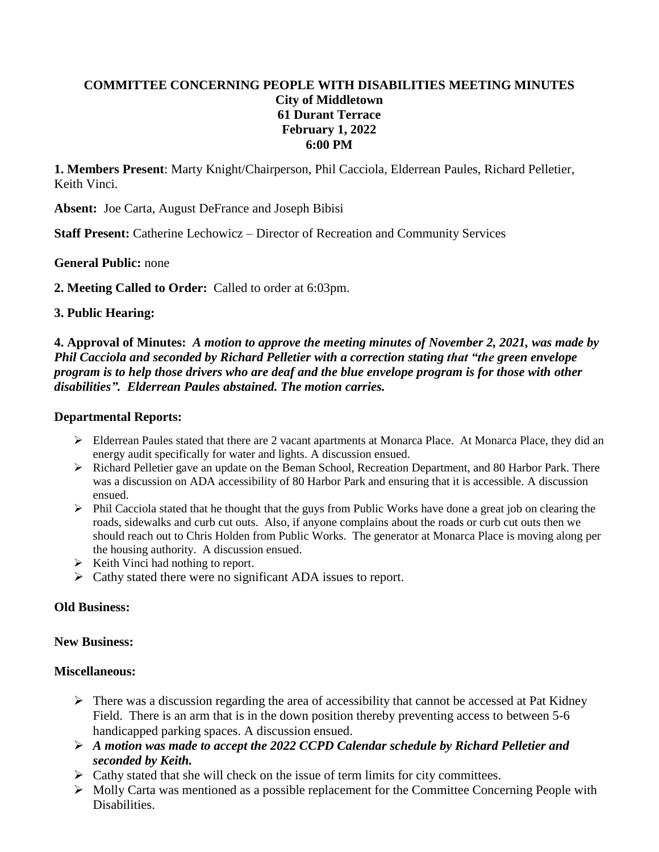# **COMMITTEE CONCERNING PEOPLE WITH DISABILITIES MEETING MINUTES City of Middletown 61 Durant Terrace February 1, 2022 6:00 PM**

**1. Members Present**: Marty Knight/Chairperson, Phil Cacciola, Elderrean Paules, Richard Pelletier, Keith Vinci.

**Absent:** Joe Carta, August DeFrance and Joseph Bibisi

**Staff Present:** Catherine Lechowicz – Director of Recreation and Community Services

# **General Public:** none

**2. Meeting Called to Order:** Called to order at 6:03pm.

# **3. Public Hearing:**

**4. Approval of Minutes:** *A motion to approve the meeting minutes of November 2, 2021, was made by Phil Cacciola and seconded by Richard Pelletier with a correction stating that "the green envelope program is to help those drivers who are deaf and the blue envelope program is for those with other disabilities". Elderrean Paules abstained. The motion carries.* 

### **Departmental Reports:**

- $\triangleright$  Elderrean Paules stated that there are 2 vacant apartments at Monarca Place. At Monarca Place, they did an energy audit specifically for water and lights. A discussion ensued.
- Richard Pelletier gave an update on the Beman School, Recreation Department, and 80 Harbor Park. There was a discussion on ADA accessibility of 80 Harbor Park and ensuring that it is accessible. A discussion ensued.
- $\triangleright$  Phil Cacciola stated that he thought that the guys from Public Works have done a great job on clearing the roads, sidewalks and curb cut outs. Also, if anyone complains about the roads or curb cut outs then we should reach out to Chris Holden from Public Works. The generator at Monarca Place is moving along per the housing authority. A discussion ensued.
- $\triangleright$  Keith Vinci had nothing to report.
- $\triangleright$  Cathy stated there were no significant ADA issues to report.

### **Old Business:**

### **New Business:**

### **Miscellaneous:**

- $\triangleright$  There was a discussion regarding the area of accessibility that cannot be accessed at Pat Kidney Field. There is an arm that is in the down position thereby preventing access to between 5-6 handicapped parking spaces. A discussion ensued.
- *A motion was made to accept the 2022 CCPD Calendar schedule by Richard Pelletier and seconded by Keith.*
- $\triangleright$  Cathy stated that she will check on the issue of term limits for city committees.
- $\triangleright$  Molly Carta was mentioned as a possible replacement for the Committee Concerning People with Disabilities.